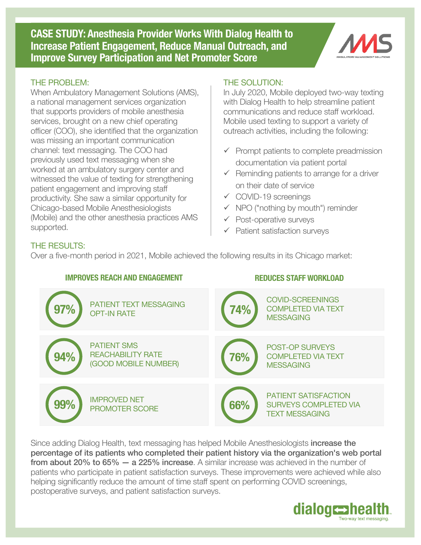**CASE STUDY: Anesthesia Provider Works With Dialog Health to Increase Patient Engagement, Reduce Manual Outreach, and Improve Survey Participation and Net Promoter Score**



#### THE PROBLEM:

When Ambulatory Management Solutions (AMS), a national management services organization that supports providers of mobile anesthesia services, brought on a new chief operating officer (COO), she identified that the organization was missing an important communication channel: text messaging. The COO had previously used text messaging when she worked at an ambulatory surgery center and witnessed the value of texting for strengthening patient engagement and improving staff productivity. She saw a similar opportunity for Chicago-based Mobile Anesthesiologists (Mobile) and the other anesthesia practices AMS supported.

#### THE SOLUTION:

In July 2020, Mobile deployed two-way texting with Dialog Health to help streamline patient communications and reduce staff workload. Mobile used texting to support a variety of outreach activities, including the following:

- $\checkmark$  Prompt patients to complete preadmission documentation via patient portal
- $\checkmark$  Reminding patients to arrange for a driver on their date of service
- $\checkmark$  COVID-19 screenings
- $\checkmark$  NPO ("nothing by mouth") reminder
- $\checkmark$  Post-operative surveys
- $\checkmark$  Patient satisfaction surveys

# THE RESULTS:

Over a five-month period in 2021, Mobile achieved the following results in its Chicago market:



Since adding Dialog Health, text messaging has helped Mobile Anesthesiologists increase the percentage of its patients who completed their patient history via the organization's web portal from about 20% to 65% - a 225% increase. A similar increase was achieved in the number of patients who participate in patient satisfaction surveys. These improvements were achieved while also helping significantly reduce the amount of time staff spent on performing COVID screenings, postoperative surveys, and patient satisfaction surveys.